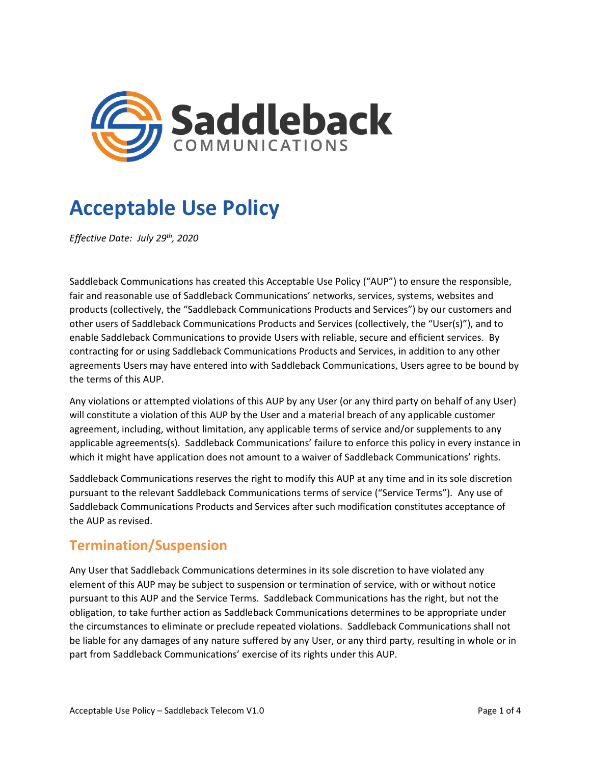

# **Acceptable Use Policy**

*Effective Date: July 29 th, 2020*

Saddleback Communications has created this Acceptable Use Policy ("AUP") to ensure the responsible, fair and reasonable use of Saddleback Communications' networks, services, systems, websites and products (collectively, the "Saddleback Communications Products and Services") by our customers and other users of Saddleback Communications Products and Services (collectively, the "User(s)"), and to enable Saddleback Communications to provide Users with reliable, secure and efficient services. By contracting for or using Saddleback Communications Products and Services, in addition to any other agreements Users may have entered into with Saddleback Communications, Users agree to be bound by the terms of this AUP.

Any violations or attempted violations of this AUP by any User (or any third party on behalf of any User) will constitute a violation of this AUP by the User and a material breach of any applicable customer agreement, including, without limitation, any applicable terms of service and/or supplements to any applicable agreements(s). Saddleback Communications' failure to enforce this policy in every instance in which it might have application does not amount to a waiver of Saddleback Communications' rights.

Saddleback Communications reserves the right to modify this AUP at any time and in its sole discretion pursuant to the relevant Saddleback Communications terms of service ("Service Terms"). Any use of Saddleback Communications Products and Services after such modification constitutes acceptance of the AUP as revised.

## **Termination/Suspension**

Any User that Saddleback Communications determines in its sole discretion to have violated any element of this AUP may be subject to suspension or termination of service, with or without notice pursuant to this AUP and the Service Terms. Saddleback Communications has the right, but not the obligation, to take further action as Saddleback Communications determines to be appropriate under the circumstances to eliminate or preclude repeated violations. Saddleback Communications shall not be liable for any damages of any nature suffered by any User, or any third party, resulting in whole or in part from Saddleback Communications' exercise of its rights under this AUP.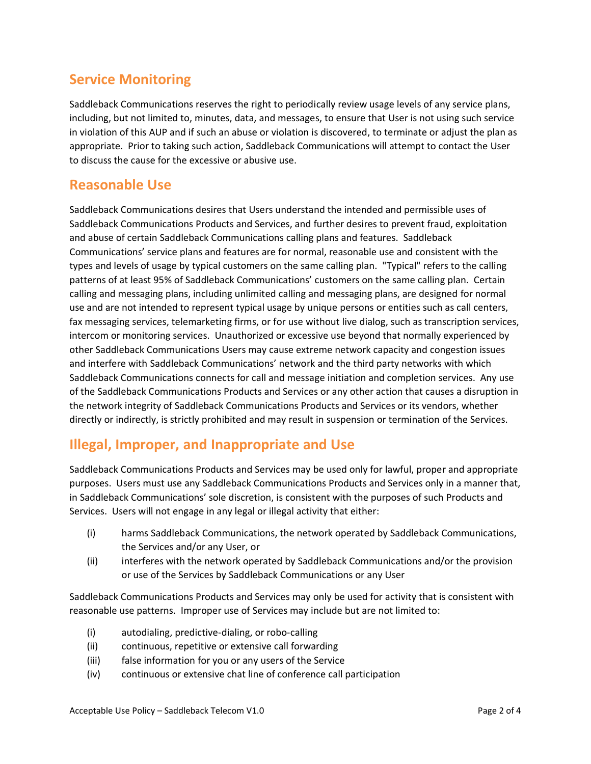## **Service Monitoring**

Saddleback Communications reserves the right to periodically review usage levels of any service plans, including, but not limited to, minutes, data, and messages, to ensure that User is not using such service in violation of this AUP and if such an abuse or violation is discovered, to terminate or adjust the plan as appropriate. Prior to taking such action, Saddleback Communications will attempt to contact the User to discuss the cause for the excessive or abusive use.

#### **Reasonable Use**

Saddleback Communications desires that Users understand the intended and permissible uses of Saddleback Communications Products and Services, and further desires to prevent fraud, exploitation and abuse of certain Saddleback Communications calling plans and features. Saddleback Communications' service plans and features are for normal, reasonable use and consistent with the types and levels of usage by typical customers on the same calling plan. "Typical" refers to the calling patterns of at least 95% of Saddleback Communications' customers on the same calling plan. Certain calling and messaging plans, including unlimited calling and messaging plans, are designed for normal use and are not intended to represent typical usage by unique persons or entities such as call centers, fax messaging services, telemarketing firms, or for use without live dialog, such as transcription services, intercom or monitoring services. Unauthorized or excessive use beyond that normally experienced by other Saddleback Communications Users may cause extreme network capacity and congestion issues and interfere with Saddleback Communications' network and the third party networks with which Saddleback Communications connects for call and message initiation and completion services. Any use of the Saddleback Communications Products and Services or any other action that causes a disruption in the network integrity of Saddleback Communications Products and Services or its vendors, whether directly or indirectly, is strictly prohibited and may result in suspension or termination of the Services.

## **Illegal, Improper, and Inappropriate and Use**

Saddleback Communications Products and Services may be used only for lawful, proper and appropriate purposes. Users must use any Saddleback Communications Products and Services only in a manner that, in Saddleback Communications' sole discretion, is consistent with the purposes of such Products and Services. Users will not engage in any legal or illegal activity that either:

- (i) harms Saddleback Communications, the network operated by Saddleback Communications, the Services and/or any User, or
- (ii) interferes with the network operated by Saddleback Communications and/or the provision or use of the Services by Saddleback Communications or any User

Saddleback Communications Products and Services may only be used for activity that is consistent with reasonable use patterns. Improper use of Services may include but are not limited to:

- (i) autodialing, predictive-dialing, or robo-calling
- (ii) continuous, repetitive or extensive call forwarding
- (iii) false information for you or any users of the Service
- (iv) continuous or extensive chat line of conference call participation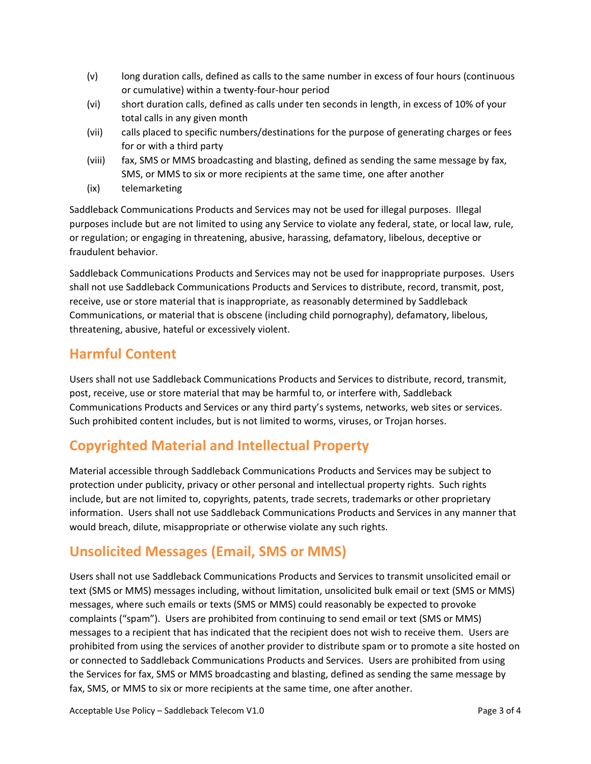- (v) long duration calls, defined as calls to the same number in excess of four hours (continuous or cumulative) within a twenty-four-hour period
- (vi) short duration calls, defined as calls under ten seconds in length, in excess of 10% of your total calls in any given month
- (vii) calls placed to specific numbers/destinations for the purpose of generating charges or fees for or with a third party
- (viii) fax, SMS or MMS broadcasting and blasting, defined as sending the same message by fax, SMS, or MMS to six or more recipients at the same time, one after another
- (ix) telemarketing

Saddleback Communications Products and Services may not be used for illegal purposes. Illegal purposes include but are not limited to using any Service to violate any federal, state, or local law, rule, or regulation; or engaging in threatening, abusive, harassing, defamatory, libelous, deceptive or fraudulent behavior.

Saddleback Communications Products and Services may not be used for inappropriate purposes. Users shall not use Saddleback Communications Products and Services to distribute, record, transmit, post, receive, use or store material that is inappropriate, as reasonably determined by Saddleback Communications, or material that is obscene (including child pornography), defamatory, libelous, threatening, abusive, hateful or excessively violent.

#### **Harmful Content**

Users shall not use Saddleback Communications Products and Services to distribute, record, transmit, post, receive, use or store material that may be harmful to, or interfere with, Saddleback Communications Products and Services or any third party's systems, networks, web sites or services. Such prohibited content includes, but is not limited to worms, viruses, or Trojan horses.

## **Copyrighted Material and Intellectual Property**

Material accessible through Saddleback Communications Products and Services may be subject to protection under publicity, privacy or other personal and intellectual property rights. Such rights include, but are not limited to, copyrights, patents, trade secrets, trademarks or other proprietary information. Users shall not use Saddleback Communications Products and Services in any manner that would breach, dilute, misappropriate or otherwise violate any such rights.

#### **Unsolicited Messages (Email, SMS or MMS)**

Users shall not use Saddleback Communications Products and Services to transmit unsolicited email or text (SMS or MMS) messages including, without limitation, unsolicited bulk email or text (SMS or MMS) messages, where such emails or texts (SMS or MMS) could reasonably be expected to provoke complaints ("spam"). Users are prohibited from continuing to send email or text (SMS or MMS) messages to a recipient that has indicated that the recipient does not wish to receive them. Users are prohibited from using the services of another provider to distribute spam or to promote a site hosted on or connected to Saddleback Communications Products and Services. Users are prohibited from using the Services for fax, SMS or MMS broadcasting and blasting, defined as sending the same message by fax, SMS, or MMS to six or more recipients at the same time, one after another.